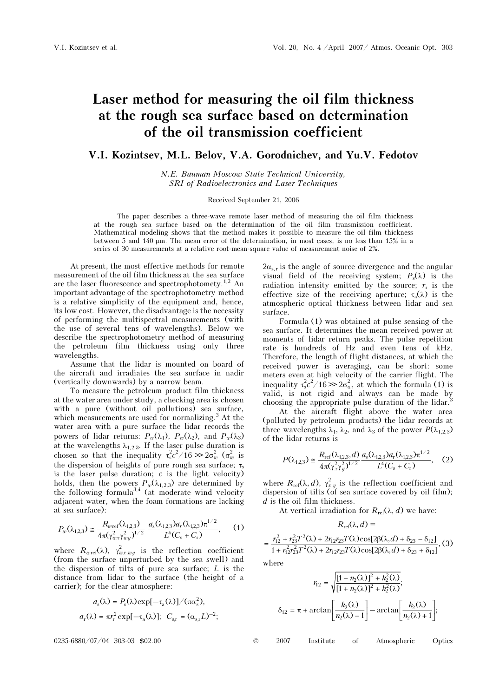## Laser method for measuring the oil film thickness at the rough sea surface based on determination of the oil transmission coefficient

V.I. Kozintsev, M.L. Belov, V.A. Gorodnichev, and Yu.V. Fedotov

N.E. Bauman Moscow State Technical University, SRI of Radioelectronics and Laser Techniques

## Received September 21, 2006

The paper describes a three-wave remote laser method of measuring the oil film thickness at the rough sea surface based on the determination of the oil film transmission coefficient. Mathematical modeling shows that the method makes it possible to measure the oil film thickness between 5 and 140  $\mu$ m. The mean error of the determination, in most cases, is no less than 15% in a series of 30 measurements at a relative root-mean-square value of measurement noise of 2%.

At present, the most effective methods for remote measurement of the oil film thickness at the sea surface are the laser fluorescence and spectrophotomety.1,2 An important advantage of the spectrophotometry method is a relative simplicity of the equipment and, hence, its low cost. However, the disadvantage is the necessity of performing the multispectral measurements (with the use of several tens of wavelengths). Below we describe the spectrophotometry method of measuring the petroleum film thickness using only three wavelengths.

Assume that the lidar is mounted on board of the aircraft and irradiates the sea surface in nadir (vertically downwards) by a narrow beam.

To measure the petroleum product film thickness at the water area under study, a checking area is chosen with a pure (without oil pollutions) sea surface, which measurements are used for normalizing.<sup>3</sup> At the water area with a pure surface the lidar records the powers of lidar returns:  $P_w(\lambda_1)$ ,  $P_w(\lambda_2)$ , and  $P_w(\lambda_3)$ at the wavelengths  $\lambda_{1,2,3}$ . If the laser pulse duration is chosen so that the inequality  $\tau_s^2 c^2 / 16 \gg 2\sigma_w^2$  ( $\sigma_w^2$  is the dispersion of heights of pure rough sea surface;  $\tau_s$ is the laser pulse duration;  $c$  is the light velocity) holds, then the powers  $P_w(\lambda_{1,2,3})$  are determined by the following formula<sup>3,4</sup> (at moderate wind velocity adjacent water, when the foam formations are lacking at sea surface):

$$
P_w(\lambda_{1,2,3}) \cong \frac{R_{wref}(\lambda_{1,2,3})}{4\pi(\gamma_{wx}^2 \gamma_{wy}^2)^{1/2}} \frac{a_s(\lambda_{1,2,3})a_r(\lambda_{1,2,3})\pi^{1/2}}{L^4(C_s + C_r)},
$$
 (1)

where  $R_{wref}(\lambda)$ ,  $\gamma_{wx,wy}^2$  is the reflection coefficient (from the surface unperturbed by the sea swell) and the dispersion of tilts of pure sea surface;  $L$  is the distance from lidar to the surface (the height of a carrier); for the clear atmosphere:

$$
a_{s}(\lambda) = P_{s}(\lambda) \exp[-\tau_{a}(\lambda)] / (\pi \alpha_{s}^{2}),
$$
  

$$
a_{r}(\lambda) = \pi r_{r}^{2} \exp[-\tau_{a}(\lambda)]; \quad C_{s,r} = (\alpha_{s,r}L)^{-2};
$$

 $2\alpha_{s,r}$  is the angle of source divergence and the angular visual field of the receiving system;  $P_s(\lambda)$  is the radiation intensity emitted by the source;  $r_r$  is the effective size of the receiving aperture;  $\tau_a(\lambda)$  is the atmospheric optical thickness between lidar and sea surface.

Formula (1) was obtained at pulse sensing of the sea surface. It determines the mean received power at moments of lidar return peaks. The pulse repetition rate is hundreds of Hz and even tens of kHz. Therefore, the length of flight distances, at which the received power is averaging, can be short: some meters even at high velocity of the carrier flight. The inequality  $\tau_{s}^{2}c^{2}/16 \gg 2\sigma_{w}^{2}$ , at which the formula (1) is valid, is not rigid and always can be made by choosing the appropriate pulse duration of the lidar.<sup>3</sup>

 At the aircraft flight above the water area (polluted by petroleum products) the lidar records at three wavelengths  $\lambda_1$ ,  $\lambda_2$ , and  $\lambda_3$  of the power  $P(\lambda_{1,2,3})$ of the lidar returns is

$$
P(\lambda_{1,2,3}) \cong \frac{R_{\text{ref}}(\lambda_{1,2,3},d)}{4\pi(\gamma_x^2\gamma_y^2)^{1/2}} \frac{a_s(\lambda_{1,2,3})a_r(\lambda_{1,2,3})\pi^{1/2}}{L^4(C_s+C_r)},
$$
 (2)

where  $R_{\text{ref}}(\lambda, d)$ ,  $\gamma_{x,y}^2$  is the reflection coefficient and dispersion of tilts (of sea surface covered by oil film); d is the oil film thickness.

At vertical irradiation for  $R_{ref}(\lambda, d)$  we have:

$$
R_{\text{ref}}(\lambda, d) =
$$

 $\frac{r_{12}^2 + r_{23}^2 T^2(\lambda) + 2r_{12}r_{23}T(\lambda)\cos[2\beta(\lambda, d) + \delta_{23} - \delta_{12}]}{1 + r_{12}^2 r_{23}^2 T^2(\lambda) + 2r_{12}r_{23}T(\lambda)\cos[2\beta(\lambda, d) + \delta_{23} + \delta_{12}]},$  $=\frac{r_{12}^2+r_{23}^2T^2(\lambda)+2r_{12}r_{23}T(\lambda)\cos[2\beta(\lambda,d)+\delta_{23}-\delta_{12}]}{1+r_{12}^2r_{23}^2T^2(\lambda)+2r_{12}r_{23}T(\lambda)\cos[2\beta(\lambda,d)+\delta_{23}+\delta_{12}]},$  (3)

where

$$
r_{12} = \sqrt{\frac{[1 - n_2(\lambda)]^2 + k_2^2(\lambda)}{[1 + n_2(\lambda)]^2 + k_2^2(\lambda)}};
$$

$$
\delta_{12} = \pi + \arctan\left[\frac{k_2(\lambda)}{n_2(\lambda) - 1}\right] - \arctan\left[\frac{k_2(\lambda)}{n_2(\lambda) + 1}\right];
$$

0235-6880/07/04 303-03 \$02.00 © 2007 Institute of Atmospheric Optics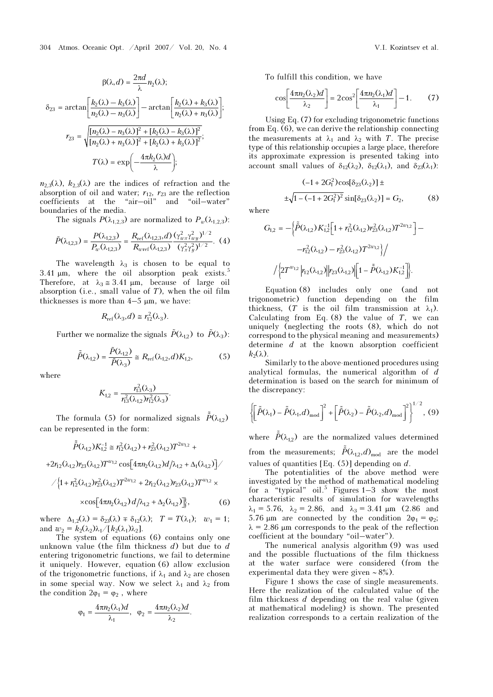$$
\beta(\lambda, d) = \frac{2\pi d}{\lambda} n_2(\lambda);
$$
  
\n
$$
\delta_{23} = \arctan\left[\frac{k_2(\lambda) - k_3(\lambda)}{n_2(\lambda) - n_3(\lambda)}\right] - \arctan\left[\frac{k_2(\lambda) + k_3(\lambda)}{n_2(\lambda) + n_3(\lambda)}\right];
$$
  
\n
$$
r_{23} = \sqrt{\frac{[n_2(\lambda) - n_3(\lambda)]^2 + [k_2(\lambda) - k_3(\lambda)]^2}{[n_2(\lambda) + n_3(\lambda)]^2 + [k_2(\lambda) + k_3(\lambda)]^2}};
$$
  
\n
$$
T(\lambda) = \exp\left(-\frac{4\pi k_2(\lambda)d}{\lambda}\right);
$$

 $n_{2,3}(\lambda)$ ,  $k_{2,3}(\lambda)$  are the indices of refraction and the absorption of oil and water;  $r_{12}$ ,  $r_{23}$  are the reflection coefficients at the "air-oil" and "oil-water" boundaries of the media.

The signals  $P(\lambda_{1,2,3})$  are normalized to  $P_w(\lambda_{1,2,3})$ :

$$
\tilde{P}(\lambda_{1,2,3}) = \frac{P(\lambda_{1,2,3})}{P_w(\lambda_{1,2,3})} = \frac{R_{\text{ref}}(\lambda_{1,2,3}, d)}{R_{\text{over}}(\lambda_{1,2,3})} \frac{(\gamma_{wx}^2 \gamma_{wy}^2)^{1/2}}{(\gamma_x^2 \gamma_y^2)^{1/2}}.
$$
 (4)

The wavelength  $\lambda_3$  is chosen to be equal to 3.41  $\mu$ m, where the oil absorption peak exists.<sup>5</sup> Therefore, at  $\lambda_3 \approx 3.41 \text{ }\mu\text{m}$ , because of large oil absorption (i.e., small value of  $T$ ), when the oil film thicknesses is more than  $4-5 \mu m$ , we have: First properties in small value of *T*), when the oil film<br>thesses is more than  $4-5 \mu m$ , we have:<br> $R_{ref}(\lambda_3, d) \approx r_{12}^2(\lambda_3)$ .<br>Further we normalize the signals  $\tilde{P}(\lambda_{12})$  to  $\tilde{P}(\lambda_3)$ :

$$
R_{\text{ref}}(\lambda_3, d) \cong r_{12}^2(\lambda_3).
$$

$$
R_{\text{ref}}(\lambda_3, d) \cong r_{12}^2(\lambda_3).
$$
  
Further we normalize the signals  $\tilde{P}(\lambda_{1,2})$  to  $\tilde{P}(\lambda_3)$ :  

$$
\tilde{\tilde{P}}(\lambda_{1,2}) = \frac{\tilde{P}(\lambda_{1,2})}{\tilde{P}(\lambda_3)} \cong R_{\text{ref}}(\lambda_{1,2}, d)K_{1,2},
$$
 (5)

where

$$
K_{1,2} = \frac{r_{13}^2(\lambda_3)}{r_{13}^2(\lambda_{1,2})r_{12}^2(\lambda_3)}.
$$

The formula (5) for normalized signals  $\tilde{P}(\lambda_{1,2})$ can be represented in the form:

$$
\tilde{\tilde{P}}(\lambda_{1,2})K_{1,2}^{-1} \cong r_{12}^2(\lambda_{1,2}) + r_{23}^2(\lambda_{1,2})T^{2w_{1,2}} +
$$

 $+2r_{12}(\lambda_{1,2})r_{23}(\lambda_{1,2})T^{\omega_{1,2}}\cos\left[4\pi n_{2}(\lambda_{1,2})d/\lambda_{1,2}+\Delta_{1}(\lambda_{1,2})\right]$ 

$$
\angle \{1 + r_{12}^2(\lambda_{1,2})r_{23}^2(\lambda_{1,2})T^{2w_{1,2}} + 2r_{12}(\lambda_{1,2})r_{23}(\lambda_{1,2})T^{w_{1,2}} \times \times \cos[4\pi n_2(\lambda_{1,2}) d/\lambda_{1,2} + \Delta_2(\lambda_{1,2})]\},
$$
 (6)

where  $\Delta_{1,2}(\lambda) = \delta_{23}(\lambda) \pm \delta_{12}(\lambda);$   $T = T(\lambda_1);$   $w_1 = 1;$ and  $w_2 = k_2(\lambda_2)\lambda_1/[k_2(\lambda_1)\lambda_2]$ .

The system of equations (6) contains only one unknown value (the film thickness  $d$ ) but due to  $d$ entering trigonometric functions, we fail to determine it uniquely. However, equation (6) allow exclusion of the trigonometric functions, if  $\lambda_1$  and  $\lambda_2$  are chosen in some special way. Now we select  $\lambda_1$  and  $\lambda_2$  from the condition  $2\varphi_1 = \varphi_2$ , where

$$
\varphi_1=\frac{4\pi n_2(\lambda_1)d}{\lambda_1}, \ \ \varphi_2=\frac{4\pi n_2(\lambda_2)d}{\lambda_2}.
$$

To fulfill this condition, we have

$$
\cos\left[\frac{4\pi n_2(\lambda_2)d}{\lambda_2}\right] = 2\cos^2\left[\frac{4\pi n_2(\lambda_1)d}{\lambda_1}\right] - 1. \tag{7}
$$

Using Eq. (7) for excluding trigonometric functions from Eq. (6), we can derive the relationship connecting the measurements at  $\lambda_1$  and  $\lambda_2$  with T. The precise type of this relationship occupies a large place, therefore its approximate expression is presented taking into account small values of  $\delta_{12}(\lambda_2)$ ,  $\delta_{12}(\lambda_1)$ , and  $\delta_{23}(\lambda_1)$ :

$$
(-1 + 2G_1^2)\cos[\delta_{23}(\lambda_2)] \pm
$$
  

$$
\pm \sqrt{1 - (-1 + 2G_1^2)^2} \sin[\delta_{23}(\lambda_2)] = G_2,
$$
 (8)

where

$$
G_{1,2} = -\left\{\tilde{P}(\lambda_{1,2}) K_{1,2}^{-1} \left[1 + r_{12}^2(\lambda_{1,2}) r_{23}^2(\lambda_{1,2}) T^{2w_{1,2}}\right] - \right. \\
\left. - r_{12}^2(\lambda_{1,2}) - r_{23}^2(\lambda_{1,2}) T^{2w_{1,2}}\right\}\Big/ \\
\left.\left/ \left\{2 T^{w_{1,2}} \left| r_{12}(\lambda_{1,2}) \right| \left| r_{23}(\lambda_{1,2}) \right| \left[1 - \tilde{P}(\lambda_{1,2}) K_{1,2}^{-1}\right] \right\} \right].
$$

Equation (8) includes only one (and not trigonometric) function depending on the film thickness,  $(T \text{ is the oil film transmission at } \lambda_1)$ . Calculating from Eq.  $(8)$  the value of T, we can uniquely (neglecting the roots (8), which do not correspond to the physical meaning and measurements) determine  $d$  at the known absorption coefficient  $k_2(\lambda)$ .

Similarly to the above-mentioned procedures using analytical formulas, the numerical algorithm of d<br>determination is based on the search for minimum of<br>the discrepancy:<br> $\left[\tilde{\epsilon}(\epsilon_0) - \tilde{\epsilon}(\epsilon_1) - \tilde{\epsilon}(\epsilon_2) - \tilde{\epsilon}(\epsilon_3) - \tilde{\epsilon}(\epsilon_3) - \tilde{\epsilon}(\epsilon_3) - \tilde{\epsilon}(\epsilon_3)\right]^{1/2}$ determination is based on the search for minimum of the discrepancy: - 1<br>- 1<br>- 1<br>- 1 C<br>เ1<br>-- 1<br>- 1<br>- 2 C<br>เม

$$
\left\{\left[\tilde{\tilde{P}}(\lambda_1) - \tilde{\tilde{P}}(\lambda_1, d)_{\text{mod}}\right]^2 + \left[\tilde{\tilde{P}}(\lambda_2) - \tilde{\tilde{P}}(\lambda_2, d)_{\text{mod}}\right]^2\right\}^{1/2}, (9)
$$

where  $\tilde{P}(\lambda_{1,2})$  are the normalized values determined  $\left\{\left[\tilde{\tilde{P}}(\lambda_1) - \tilde{\tilde{P}}(\lambda_1, d)_{\text{mod}}\right] + \left[\tilde{\tilde{P}}(\lambda_2) - \tilde{\tilde{P}}(\lambda_2)\right]\right\}$ <br>where  $\tilde{\tilde{P}}(\lambda_{1,2})$  are the normalized values from the measurements;  $\tilde{\tilde{P}}(\lambda_{1,2}, d)_{\text{mod}}$ from the measurements;  $\tilde{P}(\lambda_{12}, d)_{\text{mod}}$  are the model values of quantities [Eq.  $(5)$ ] depending on d.

The potentialities of the above method were investigated by the method of mathematical modeling for a "typical" oil.<sup>5</sup> Figures  $1-3$  show the most characteristic results of simulation for wavelengths  $\lambda_1 = 5.76$ ,  $\lambda_2 = 2.86$ , and  $\lambda_3 = 3.41$  μm (2.86 and 5.76  $\mu$ m are connected by the condition  $2\varphi_1 = \varphi_2$ ;  $\lambda = 2.86$  μm corresponds to the peak of the reflection coefficient at the boundary "oil–water").

The numerical analysis algorithm (9) was used and the possible fluctuations of the film thickness at the water surface were considered (from the experimental data they were given ∼ 8%).

Figure 1 shows the case of single measurements. Here the realization of the calculated value of the film thickness  $d$  depending on the real value (given at mathematical modeling) is shown. The presented realization corresponds to a certain realization of the